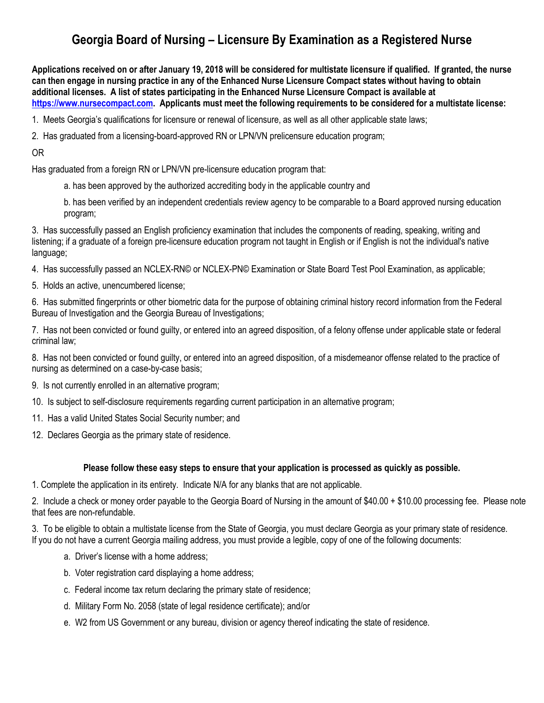## **Georgia Board of Nursing – Licensure By Examination as a Registered Nurse**

**Applications received on or after January 19, 2018 will be considered for multistate licensure if qualified. If granted, the nurse can then engage in nursing practice in any of the Enhanced Nurse Licensure Compact states without having to obtain additional licenses. A list of states participating in the Enhanced Nurse Licensure Compact is available at [https://www.nursecompact.com.](https://www.nursecompact.com/) Applicants must meet the following requirements to be considered for a multistate license:**

1. Meets Georgia's qualifications for licensure or renewal of licensure, as well as all other applicable state laws;

2. Has graduated from a licensing-board-approved RN or LPN/VN prelicensure education program;

OR

Has graduated from a foreign RN or LPN/VN pre-licensure education program that:

a. has been approved by the authorized accrediting body in the applicable country and

b. has been verified by an independent credentials review agency to be comparable to a Board approved nursing education program;

3. Has successfully passed an English proficiency examination that includes the components of reading, speaking, writing and listening; if a graduate of a foreign pre-licensure education program not taught in English or if English is not the individual's native language;

4. Has successfully passed an NCLEX-RN© or NCLEX-PN© Examination or State Board Test Pool Examination, as applicable;

5. Holds an active, unencumbered license;

6. Has submitted fingerprints or other biometric data for the purpose of obtaining criminal history record information from the Federal Bureau of Investigation and the Georgia Bureau of Investigations;

7. Has not been convicted or found guilty, or entered into an agreed disposition, of a felony offense under applicable state or federal criminal law;

8. Has not been convicted or found guilty, or entered into an agreed disposition, of a misdemeanor offense related to the practice of nursing as determined on a case-by-case basis;

- 9. Is not currently enrolled in an alternative program;
- 10. Is subject to self-disclosure requirements regarding current participation in an alternative program;
- 11. Has a valid United States Social Security number; and
- 12. Declares Georgia as the primary state of residence.

#### **Please follow these easy steps to ensure that your application is processed as quickly as possible.**

1. Complete the application in its entirety. Indicate N/A for any blanks that are not applicable.

2. Include a check or money order payable to the Georgia Board of Nursing in the amount of \$40.00 + \$10.00 processing fee. Please note that fees are non-refundable.

3. To be eligible to obtain a multistate license from the State of Georgia, you must declare Georgia as your primary state of residence. If you do not have a current Georgia mailing address, you must provide a legible, copy of one of the following documents:

- a. Driver's license with a home address;
- b. Voter registration card displaying a home address;
- c. Federal income tax return declaring the primary state of residence;
- d. Military Form No. 2058 (state of legal residence certificate); and/or
- e. W2 from US Government or any bureau, division or agency thereof indicating the state of residence.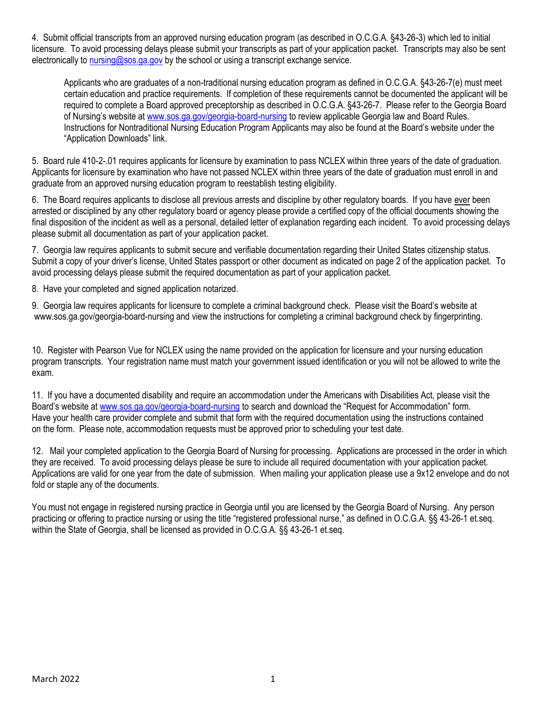4. Submit official transcripts from an approved nursing education program (as described in O.C.G.A. §43-26-3) which led to initial licensure. To avoid processing delays please submit your transcripts as part of your application packet. Transcripts may also be sent electronically t[o nursing@sos.ga.gov](mailto:nursing@sos.ga.gov) by the school or using a transcript exchange service.

Applicants who are graduates of a non-traditional nursing education program as defined in O.C.G.A. §43-26-7(e) must meet certain education and practice requirements. If completion of these requirements cannot be documented the applicant will be required to complete a Board approved preceptorship as described in O.C.G.A. §43-26-7. Please refer to the Georgia Board of Nursing's website at [www.sos.ga.gov/georgia-boa](http://www.sos.ga.gov/plb/nursing)rd-nursing to review applicable Georgia law and Board Rules. Instructions for Nontraditional Nursing Education Program Applicants may also be found at the Board's website under the "Application Downloads" link.

5. Board rule 410-2-.01 requires applicants for licensure by examination to pass NCLEX within three years of the date of graduation. Applicants for licensure by examination who have not passed NCLEX within three years of the date of graduation must enroll in and graduate from an approved nursing education program to reestablish testing eligibility.

6. The Board requires applicants to disclose all previous arrests and discipline by other regulatory boards. If you have ever been arrested or disciplined by any other regulatory board or agency please provide a certified copy of the official documents showing the final disposition of the incident as well as a personal, detailed letter of explanation regarding each incident. To avoid processing delays please submit all documentation as part of your application packet.

7. Georgia law requires applicants to submit secure and verifiable documentation regarding their United States citizenship status. Submit a copy of your driver's license, United States passport or other document as indicated on page 2 of the application packet. To avoid processing delays please submit the required documentation as part of your application packet.

8. Have your completed and signed application notarized.

9. Georgia law requires applicants for licensure to complete a criminal background check. Please visit the Board's website at  [www.sos.ga.gov/georgia-boa](http://www.sos.ga.gov/plb/nursing)rd-nursing and view the instructions for completing a criminal background check by fingerprinting.

10. Register with Pearson Vue for NCLEX using the name provided on the application for licensure and your nursing education program transcripts. Your registration name must match your government issued identification or you will not be allowed to write the exam.

11. If you have a documented disability and require an accommodation under the Americans with Disabilities Act, please visit the Board's website at [www.sos.ga.gov/georgia-boa](http://www.sos.ga.gov/plb/nursing)rd-nursing to search and download the "Request for Accommodation" form. Have your health care provider complete and submit that form with the required documentation using the instructions contained on the form. Please note, accommodation requests must be approved prior to scheduling your test date.

12. Mail your completed application to the Georgia Board of Nursing for processing. Applications are processed in the order in which they are received. To avoid processing delays please be sure to include all required documentation with your application packet. Applications are valid for one year from the date of submission. When mailing your application please use a 9x12 envelope and do not fold or staple any of the documents.

You must not engage in registered nursing practice in Georgia until you are licensed by the Georgia Board of Nursing. Any person practicing or offering to practice nursing or using the title "registered professional nurse," as defined in O.C.G.A. §§ 43-26-1 et.seq. within the State of Georgia, shall be licensed as provided in O.C.G.A. §§ 43-26-1 et.seq.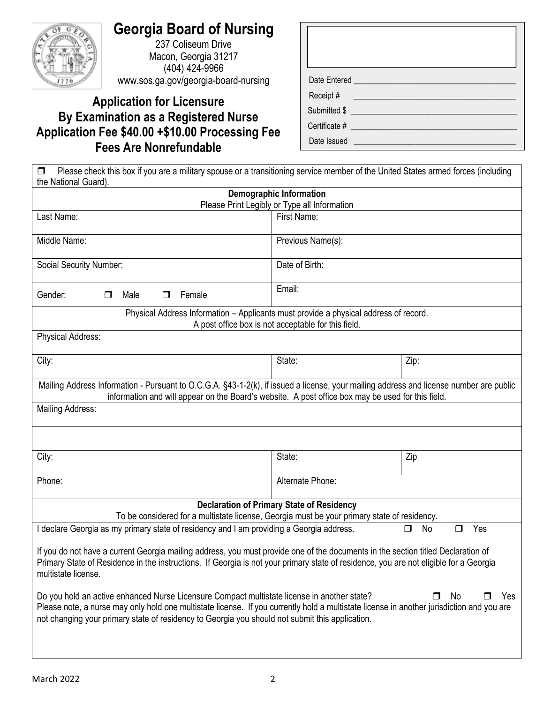

# **Georgia Board of Nursing**

237 Coliseum Drive Macon, Georgia 31217 (404) 424-9966 www.sos.ga.[gov/georgia-board-nursing](http://www.sos.ga.gov/plb/nursing)

## **Application for Licensure By Examination as a Registered Nurse Application Fee \$40.00 +\$10.00 Processing Fee Fees Are Nonrefundable**

|             | Date Entered <b>Example 2018</b> |  |
|-------------|----------------------------------|--|
| Receipt #   |                                  |  |
|             | Submitted \$                     |  |
|             |                                  |  |
| Date Issued |                                  |  |

 $\square$  Please check this box if you are a military spouse or a transitioning service member of the United States armed forces (including the National Guard).

| <b>Demographic Information</b>                                                                                                                                                                                                                                                                                                                                |                   |      |  |
|---------------------------------------------------------------------------------------------------------------------------------------------------------------------------------------------------------------------------------------------------------------------------------------------------------------------------------------------------------------|-------------------|------|--|
| Please Print Legibly or Type all Information                                                                                                                                                                                                                                                                                                                  |                   |      |  |
| Last Name:                                                                                                                                                                                                                                                                                                                                                    | First Name:       |      |  |
| Middle Name:                                                                                                                                                                                                                                                                                                                                                  | Previous Name(s): |      |  |
| Social Security Number:                                                                                                                                                                                                                                                                                                                                       | Date of Birth:    |      |  |
| Gender:<br>Female<br>Male<br>Ω.<br>$\Box$                                                                                                                                                                                                                                                                                                                     | Email:            |      |  |
| Physical Address Information - Applicants must provide a physical address of record.<br>A post office box is not acceptable for this field.                                                                                                                                                                                                                   |                   |      |  |
| Physical Address:                                                                                                                                                                                                                                                                                                                                             |                   |      |  |
| City:                                                                                                                                                                                                                                                                                                                                                         | State:            | Zip: |  |
| Mailing Address Information - Pursuant to O.C.G.A. §43-1-2(k), if issued a license, your mailing address and license number are public<br>information and will appear on the Board's website. A post office box may be used for this field.                                                                                                                   |                   |      |  |
| Mailing Address:                                                                                                                                                                                                                                                                                                                                              |                   |      |  |
|                                                                                                                                                                                                                                                                                                                                                               |                   |      |  |
| City:                                                                                                                                                                                                                                                                                                                                                         | State:            | Zip  |  |
| Phone:                                                                                                                                                                                                                                                                                                                                                        | Alternate Phone:  |      |  |
| <b>Declaration of Primary State of Residency</b>                                                                                                                                                                                                                                                                                                              |                   |      |  |
| To be considered for a multistate license, Georgia must be your primary state of residency.                                                                                                                                                                                                                                                                   |                   |      |  |
| I declare Georgia as my primary state of residency and I am providing a Georgia address.<br>No<br>Yes<br>$\Box$<br>Π                                                                                                                                                                                                                                          |                   |      |  |
| If you do not have a current Georgia mailing address, you must provide one of the documents in the section titled Declaration of<br>Primary State of Residence in the instructions. If Georgia is not your primary state of residence, you are not eligible for a Georgia<br>multistate license.                                                              |                   |      |  |
| Do you hold an active enhanced Nurse Licensure Compact multistate license in another state?<br>No<br>Yes<br>⊓<br>Please note, a nurse may only hold one multistate license. If you currently hold a multistate license in another jurisdiction and you are<br>not changing your primary state of residency to Georgia you should not submit this application. |                   |      |  |
|                                                                                                                                                                                                                                                                                                                                                               |                   |      |  |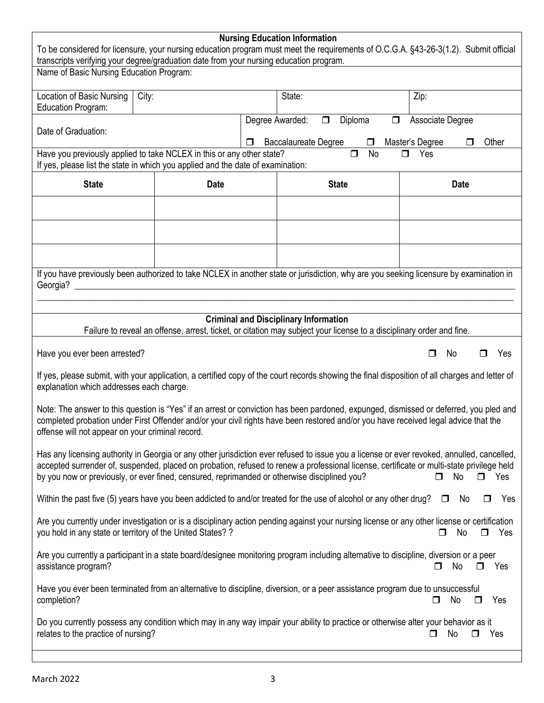| <b>Nursing Education Information</b><br>To be considered for licensure, your nursing education program must meet the requirements of O.C.G.A. §43-26-3(1.2). Submit official<br>transcripts verifying your degree/graduation date from your nursing education program.                                                                                                                                                   |                                                                                                                      |                                                |                                       |                                                        |
|--------------------------------------------------------------------------------------------------------------------------------------------------------------------------------------------------------------------------------------------------------------------------------------------------------------------------------------------------------------------------------------------------------------------------|----------------------------------------------------------------------------------------------------------------------|------------------------------------------------|---------------------------------------|--------------------------------------------------------|
| Name of Basic Nursing Education Program:                                                                                                                                                                                                                                                                                                                                                                                 |                                                                                                                      |                                                |                                       |                                                        |
| Location of Basic Nursing<br>City:<br><b>Education Program:</b>                                                                                                                                                                                                                                                                                                                                                          |                                                                                                                      | State:                                         |                                       | Zip:                                                   |
| Date of Graduation:                                                                                                                                                                                                                                                                                                                                                                                                      |                                                                                                                      | Degree Awarded:<br><b>Baccalaureate Degree</b> | Diploma<br>$\Box$<br>$\Box$<br>$\Box$ | Associate Degree<br>Master's Degree<br>Other<br>$\Box$ |
| Have you previously applied to take NCLEX in this or any other state?<br>If yes, please list the state in which you applied and the date of examination:                                                                                                                                                                                                                                                                 |                                                                                                                      |                                                | No<br>$\Box$                          | Yes<br>⊓                                               |
| <b>State</b>                                                                                                                                                                                                                                                                                                                                                                                                             | <b>Date</b>                                                                                                          |                                                | <b>State</b>                          | <b>Date</b>                                            |
|                                                                                                                                                                                                                                                                                                                                                                                                                          |                                                                                                                      |                                                |                                       |                                                        |
|                                                                                                                                                                                                                                                                                                                                                                                                                          |                                                                                                                      |                                                |                                       |                                                        |
|                                                                                                                                                                                                                                                                                                                                                                                                                          |                                                                                                                      |                                                |                                       |                                                        |
| If you have previously been authorized to take NCLEX in another state or jurisdiction, why are you seeking licensure by examination in                                                                                                                                                                                                                                                                                   |                                                                                                                      |                                                |                                       |                                                        |
|                                                                                                                                                                                                                                                                                                                                                                                                                          |                                                                                                                      |                                                |                                       |                                                        |
|                                                                                                                                                                                                                                                                                                                                                                                                                          | Failure to reveal an offense, arrest, ticket, or citation may subject your license to a disciplinary order and fine. | <b>Criminal and Disciplinary Information</b>   |                                       |                                                        |
| Have you ever been arrested?                                                                                                                                                                                                                                                                                                                                                                                             |                                                                                                                      |                                                |                                       | No<br>⊓<br>Yes<br>п                                    |
| If yes, please submit, with your application, a certified copy of the court records showing the final disposition of all charges and letter of<br>explanation which addresses each charge.                                                                                                                                                                                                                               |                                                                                                                      |                                                |                                       |                                                        |
| Note: The answer to this question is "Yes" if an arrest or conviction has been pardoned, expunged, dismissed or deferred, you pled and<br>completed probation under First Offender and/or your civil rights have been restored and/or you have received legal advice that the<br>offense will not appear on your criminal record.                                                                                        |                                                                                                                      |                                                |                                       |                                                        |
| Has any licensing authority in Georgia or any other jurisdiction ever refused to issue you a license or ever revoked, annulled, cancelled,<br>accepted surrender of, suspended, placed on probation, refused to renew a professional license, certificate or multi-state privilege held<br>by you now or previously, or ever fined, censured, reprimanded or otherwise disciplined you?<br>No<br>$\Box$<br>Yes<br>$\Box$ |                                                                                                                      |                                                |                                       |                                                        |
| Within the past five (5) years have you been addicted to and/or treated for the use of alcohol or any other drug?<br>Yes<br>$\Box$<br>No.<br>$\Box$                                                                                                                                                                                                                                                                      |                                                                                                                      |                                                |                                       |                                                        |
| Are you currently under investigation or is a disciplinary action pending against your nursing license or any other license or certification<br>you hold in any state or territory of the United States? ?<br>No<br>$\Box$<br>Yes                                                                                                                                                                                        |                                                                                                                      |                                                |                                       |                                                        |
| Are you currently a participant in a state board/designee monitoring program including alternative to discipline, diversion or a peer<br>assistance program?<br>No<br>Yes<br>$\Box$<br>П                                                                                                                                                                                                                                 |                                                                                                                      |                                                |                                       |                                                        |
| Have you ever been terminated from an alternative to discipline, diversion, or a peer assistance program due to unsuccessful<br>completion?<br>No<br>Yes<br>$\Box$<br>□                                                                                                                                                                                                                                                  |                                                                                                                      |                                                |                                       |                                                        |
| Do you currently possess any condition which may in any way impair your ability to practice or otherwise alter your behavior as it<br>relates to the practice of nursing?<br>No<br>Yes                                                                                                                                                                                                                                   |                                                                                                                      |                                                |                                       |                                                        |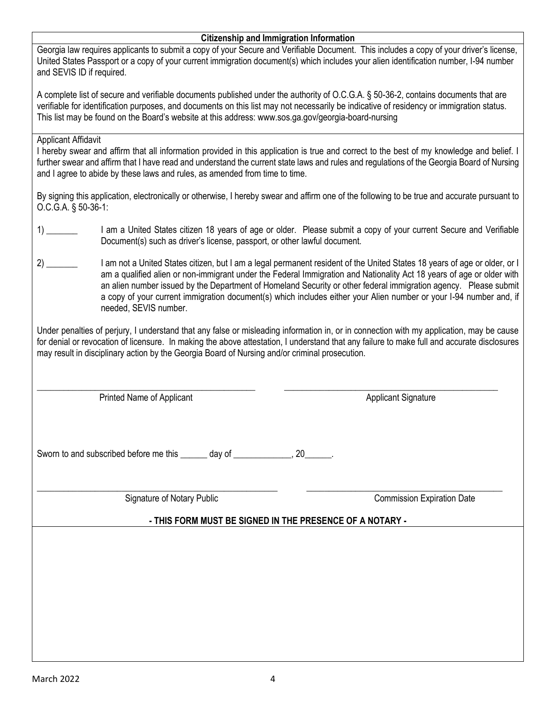|                            |                                                                                                     | <b>Citizenship and Immigration Information</b>           |                                                                                                                                                                                                                                                                                                                                                                                                                                                                                              |
|----------------------------|-----------------------------------------------------------------------------------------------------|----------------------------------------------------------|----------------------------------------------------------------------------------------------------------------------------------------------------------------------------------------------------------------------------------------------------------------------------------------------------------------------------------------------------------------------------------------------------------------------------------------------------------------------------------------------|
| and SEVIS ID if required.  |                                                                                                     |                                                          | Georgia law requires applicants to submit a copy of your Secure and Verifiable Document. This includes a copy of your driver's license,<br>United States Passport or a copy of your current immigration document(s) which includes your alien identification number, I-94 number                                                                                                                                                                                                             |
|                            | This list may be found on the Board's website at this address: www.sos.ga.gov/georgia-board-nursing |                                                          | A complete list of secure and verifiable documents published under the authority of O.C.G.A. § 50-36-2, contains documents that are<br>verifiable for identification purposes, and documents on this list may not necessarily be indicative of residency or immigration status.                                                                                                                                                                                                              |
| <b>Applicant Affidavit</b> | and I agree to abide by these laws and rules, as amended from time to time.                         |                                                          | I hereby swear and affirm that all information provided in this application is true and correct to the best of my knowledge and belief. I<br>further swear and affirm that I have read and understand the current state laws and rules and regulations of the Georgia Board of Nursing                                                                                                                                                                                                       |
| O.C.G.A. § 50-36-1:        |                                                                                                     |                                                          | By signing this application, electronically or otherwise, I hereby swear and affirm one of the following to be true and accurate pursuant to                                                                                                                                                                                                                                                                                                                                                 |
|                            | Document(s) such as driver's license, passport, or other lawful document.                           |                                                          | I am a United States citizen 18 years of age or older. Please submit a copy of your current Secure and Verifiable                                                                                                                                                                                                                                                                                                                                                                            |
|                            | needed, SEVIS number.                                                                               |                                                          | I am not a United States citizen, but I am a legal permanent resident of the United States 18 years of age or older, or I<br>am a qualified alien or non-immigrant under the Federal Immigration and Nationality Act 18 years of age or older with<br>an alien number issued by the Department of Homeland Security or other federal immigration agency. Please submit<br>a copy of your current immigration document(s) which includes either your Alien number or your I-94 number and, if |
|                            | may result in disciplinary action by the Georgia Board of Nursing and/or criminal prosecution.      |                                                          | Under penalties of perjury, I understand that any false or misleading information in, or in connection with my application, may be cause<br>for denial or revocation of licensure. In making the above attestation, I understand that any failure to make full and accurate disclosures                                                                                                                                                                                                      |
|                            | Printed Name of Applicant                                                                           |                                                          | <b>Applicant Signature</b>                                                                                                                                                                                                                                                                                                                                                                                                                                                                   |
|                            | Sworn to and subscribed before me this ______ day of _____________, 20______.                       |                                                          |                                                                                                                                                                                                                                                                                                                                                                                                                                                                                              |
|                            | Signature of Notary Public                                                                          |                                                          | <b>Commission Expiration Date</b>                                                                                                                                                                                                                                                                                                                                                                                                                                                            |
|                            |                                                                                                     | - THIS FORM MUST BE SIGNED IN THE PRESENCE OF A NOTARY - |                                                                                                                                                                                                                                                                                                                                                                                                                                                                                              |
|                            |                                                                                                     |                                                          |                                                                                                                                                                                                                                                                                                                                                                                                                                                                                              |
|                            |                                                                                                     |                                                          |                                                                                                                                                                                                                                                                                                                                                                                                                                                                                              |
|                            |                                                                                                     |                                                          |                                                                                                                                                                                                                                                                                                                                                                                                                                                                                              |
|                            |                                                                                                     |                                                          |                                                                                                                                                                                                                                                                                                                                                                                                                                                                                              |
|                            |                                                                                                     |                                                          |                                                                                                                                                                                                                                                                                                                                                                                                                                                                                              |
|                            |                                                                                                     |                                                          |                                                                                                                                                                                                                                                                                                                                                                                                                                                                                              |
|                            |                                                                                                     |                                                          |                                                                                                                                                                                                                                                                                                                                                                                                                                                                                              |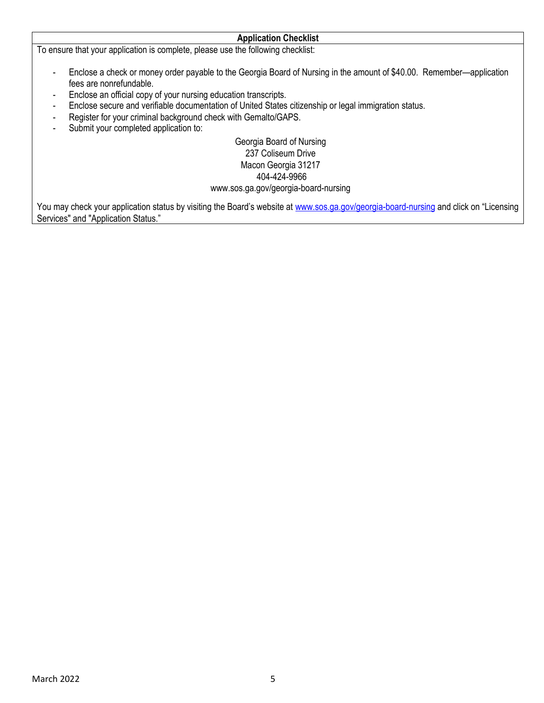#### **Application Checklist**

To ensure that your application is complete, please use the following checklist:

- Enclose a check or money order payable to the Georgia Board of Nursing in the amount of \$40.00. Remember—application fees are nonrefundable.
- Enclose an official copy of your nursing education transcripts.
- Enclose secure and verifiable documentation of United States citizenship or legal immigration status.
- Register for your criminal background check with Gemalto/GAPS.
- Submit your completed application to:

#### Georgia Board of Nursing 237 Coliseum Drive Macon Georgia 31217 404-424-9966 ww[w.sos.ga.gov/georgia-board-nu](http://www.sos.ga.gov/plb/nursing)rsing

You may check your application status by visiting the Board's website at [www.sos.ga.gov/georgia-boa](http://www.sos.ga.gov/plb/nursing)rd-nursing and click on "Licensing Services" and "Application Status."